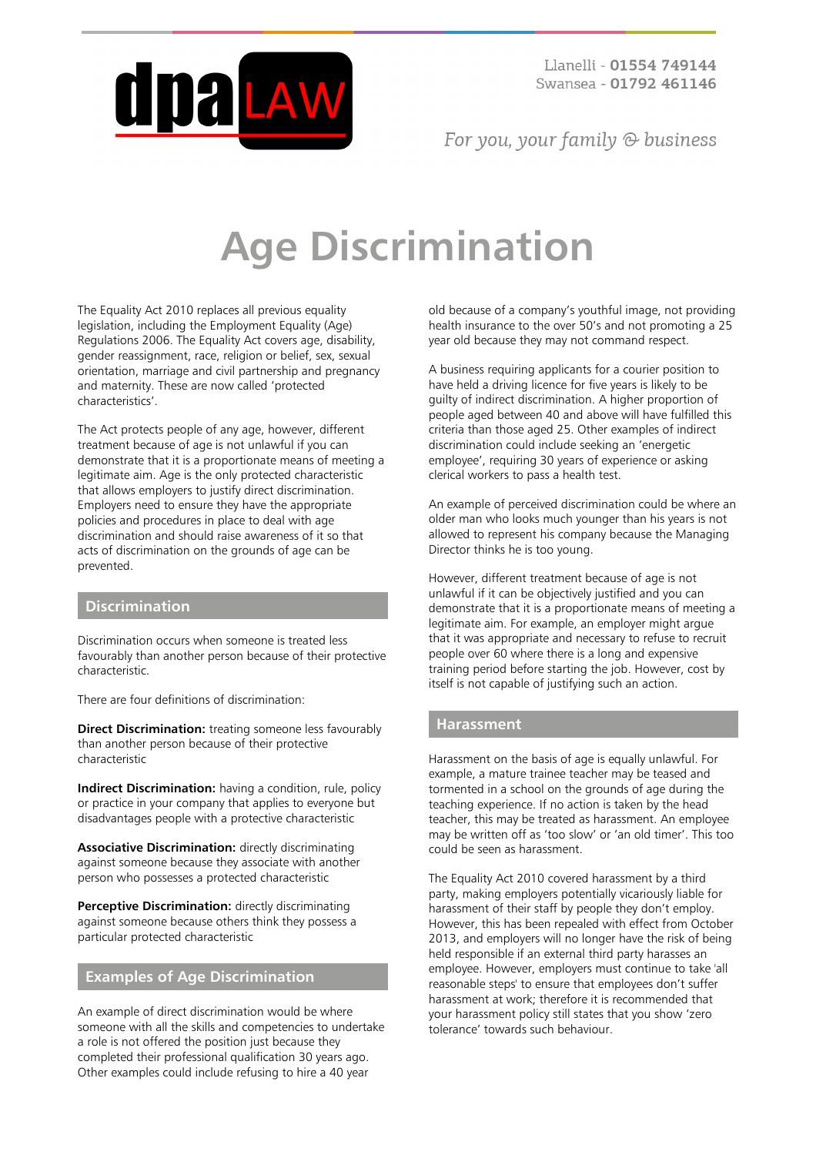

For you, your family  $\odot$  business

# **Age Discrimination**

The Equality Act 2010 replaces all previous equality legislation, including the Employment Equality (Age) Regulations 2006. The Equality Act covers age, disability, gender reassignment, race, religion or belief, sex, sexual orientation, marriage and civil partnership and pregnancy and maternity. These are now called 'protected characteristics'.

The Act protects people of any age, however, different treatment because of age is not unlawful if you can demonstrate that it is a proportionate means of meeting a legitimate aim. Age is the only protected characteristic that allows employers to justify direct discrimination. Employers need to ensure they have the appropriate policies and procedures in place to deal with age discrimination and should raise awareness of it so that acts of discrimination on the grounds of age can be prevented.

#### **Discrimination**

Discrimination occurs when someone is treated less favourably than another person because of their protective characteristic.

There are four definitions of discrimination:

**Direct Discrimination:** treating someone less favourably than another person because of their protective characteristic

**Indirect Discrimination:** having a condition, rule, policy or practice in your company that applies to everyone but disadvantages people with a protective characteristic

**Associative Discrimination:** directly discriminating against someone because they associate with another person who possesses a protected characteristic

**Perceptive Discrimination:** directly discriminating against someone because others think they possess a particular protected characteristic

## **Examples of Age Discrimination**

An example of direct discrimination would be where someone with all the skills and competencies to undertake a role is not offered the position just because they completed their professional qualification 30 years ago. Other examples could include refusing to hire a 40 year

old because of a company's youthful image, not providing health insurance to the over 50's and not promoting a 25 year old because they may not command respect.

A business requiring applicants for a courier position to have held a driving licence for five years is likely to be guilty of indirect discrimination. A higher proportion of people aged between 40 and above will have fulfilled this criteria than those aged 25. Other examples of indirect discrimination could include seeking an 'energetic employee', requiring 30 years of experience or asking clerical workers to pass a health test.

An example of perceived discrimination could be where an older man who looks much younger than his years is not allowed to represent his company because the Managing Director thinks he is too young.

However, different treatment because of age is not unlawful if it can be objectively justified and you can demonstrate that it is a proportionate means of meeting a legitimate aim. For example, an employer might argue that it was appropriate and necessary to refuse to recruit people over 60 where there is a long and expensive training period before starting the job. However, cost by itself is not capable of justifying such an action.

#### **Harassment**

Harassment on the basis of age is equally unlawful. For example, a mature trainee teacher may be teased and tormented in a school on the grounds of age during the teaching experience. If no action is taken by the head teacher, this may be treated as harassment. An employee may be written off as 'too slow' or 'an old timer'. This too could be seen as harassment.

The Equality Act 2010 covered harassment by a third party, making employers potentially vicariously liable for harassment of their staff by people they don't employ. However, this has been repealed with effect from October 2013, and employers will no longer have the risk of being held responsible if an external third party harasses an employee. However, employers must continue to take 'all reasonable steps' to ensure that employees don't suffer harassment at work; therefore it is recommended that your harassment policy still states that you show 'zero tolerance' towards such behaviour.